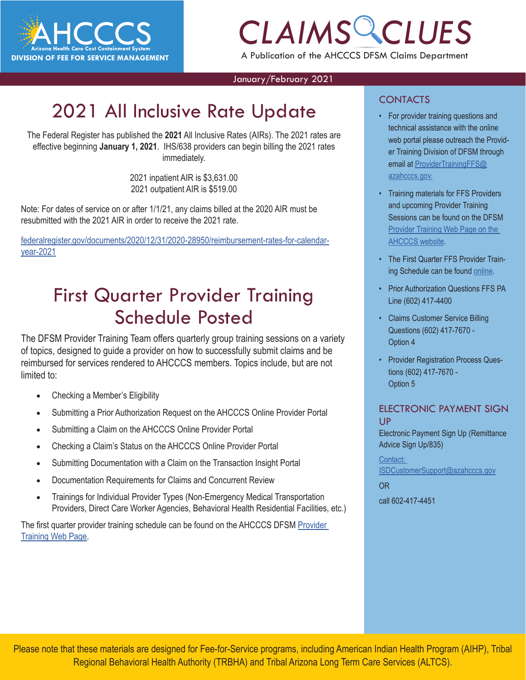

# *CLAIMS CLUES* A Publication of the AHCCCS DFSM Claims Department

January/February 2021

# 2021 All Inclusive Rate Update

The Federal Register has published the **2021** All Inclusive Rates (AIRs). The 2021 rates are effective beginning **January 1, 2021**. IHS/638 providers can begin billing the 2021 rates immediately.

> 2021 inpatient AIR is \$3,631.00 2021 outpatient AIR is \$519.00

Note: For dates of service on or after 1/1/21, any claims billed at the 2020 AIR must be resubmitted with the 2021 AIR in order to receive the 2021 rate.

[federalregister.gov/documents/2020/12/31/2020-28950/reimbursement-rates-for-calendar](http://r20.rs6.net/tn.jsp?f=001AI_DajpnmrY-M-nH00TGwaC1sWFy6qbtwEi__Jlx4EOr5DViOjQciJZrN_Bsju3th0pn9Pvt8hy0koFUBCWj_HbQ5ZlSIhMlT_pyk1uOvt5KCfmMWZ0tdsjOuLKgACqiVhkbVsxxx_hHx3xNyvnYebwS7kuPW2miQFulMk5oFzJCHaTBkhj-5jlpXxXcKchfKOXL2G_C2autrV1bRK531Efphd4Mou3eM1ZUhDi4-9RK08DouCGDJVGgvtmXHeSM69NuND1jte8=&c=wJfbPHAXRy_UNpqKUy5Whi9BZoDZiF1U8Fg-v4BTPQPsNM5pYaHtcQ==&ch=qm_1pidg32wlENBUiGiqQ3boaXMDGnTnCL5rIbKDNiWpJ-XM838j8Q==)[year-2021](http://r20.rs6.net/tn.jsp?f=001AI_DajpnmrY-M-nH00TGwaC1sWFy6qbtwEi__Jlx4EOr5DViOjQciJZrN_Bsju3th0pn9Pvt8hy0koFUBCWj_HbQ5ZlSIhMlT_pyk1uOvt5KCfmMWZ0tdsjOuLKgACqiVhkbVsxxx_hHx3xNyvnYebwS7kuPW2miQFulMk5oFzJCHaTBkhj-5jlpXxXcKchfKOXL2G_C2autrV1bRK531Efphd4Mou3eM1ZUhDi4-9RK08DouCGDJVGgvtmXHeSM69NuND1jte8=&c=wJfbPHAXRy_UNpqKUy5Whi9BZoDZiF1U8Fg-v4BTPQPsNM5pYaHtcQ==&ch=qm_1pidg32wlENBUiGiqQ3boaXMDGnTnCL5rIbKDNiWpJ-XM838j8Q==)

### First Quarter Provider Training Schedule Posted

The DFSM Provider Training Team offers quarterly group training sessions on a variety of topics, designed to guide a provider on how to successfully submit claims and be reimbursed for services rendered to AHCCCS members. Topics include, but are not limited to:

- Checking a Member's Eligibility
- Submitting a Prior Authorization Request on the AHCCCS Online Provider Portal
- Submitting a Claim on the AHCCCS Online Provider Portal
- Checking a Claim's Status on the AHCCCS Online Provider Portal
- Submitting Documentation with a Claim on the Transaction Insight Portal
- Documentation Requirements for Claims and Concurrent Review
- Trainings for Individual Provider Types (Non-Emergency Medical Transportation Providers, Direct Care Worker Agencies, Behavioral Health Residential Facilities, etc.)

The first quarter provider training schedule can be found on the AHCCCS DFSM [Provider](https://www.azahcccs.gov/Resources/Downloads/DFMSTraining/2021/ProviderTrainingScheduleFirstQuarter2021.pdf)  [Training Web Page](https://www.azahcccs.gov/Resources/Downloads/DFMSTraining/2021/ProviderTrainingScheduleFirstQuarter2021.pdf).

#### **CONTACTS**

- **text**<br>
<sup>•</sup> For provider training questions and<br>
21 rates are<br> **EXPLAIMS CLUBE A** the provider the Providtechnical assistance with the online web portal please outreach the Provider Training Division of DFSM through email at [ProviderTrainingFFS@](mailto:ProviderTrainingFFS%40azahcccs.gov.?subject=) [azahcccs.gov.](mailto:ProviderTrainingFFS%40azahcccs.gov.?subject=)
	- Training materials for FFS Providers and upcoming Provider Training Sessions can be found on the DFSM [Provider Training Web Page on the](https://www.azahcccs.gov/Resources/Downloads/DFMSTraining/2020/FourthQuarterTrainingSchedule2020.pd) [AHCCCS website](https://www.azahcccs.gov/Resources/Downloads/DFMSTraining/2020/FourthQuarterTrainingSchedule2020.pd).
	- The First Quarter FFS Provider Training Schedule can be found [online.](https://www.azahcccs.gov/Resources/Downloads/DFMSTraining/2020/ProviderTrainingScheduleFirstQuarter2020.pdf)
	- Prior Authorization Questions FFS PA Line (602) 417-4400
	- Claims Customer Service Billing Questions (602) 417-7670 - Option 4
	- Provider Registration Process Questions (602) 417-7670 - Option 5

#### ELECTRONIC PAYMENT SIGN UP

Electronic Payment Sign Up (Remittance Advice Sign Up/835)

#### Contact:

[ISDCustomerSupport@azahcccs.gov](mailto:ISDCustomerSupport%40azahcccs.gov?subject=)

[OR](mailto:ISDCustomerSupport%40azahcccs.gov?subject=)

[call 602-417-4451](mailto:ISDCustomerSupport%40azahcccs.gov?subject=)

Please note that these materials are designed for Fee-for-Service programs, including American Indian Health Program (AIHP), Tribal Regional Behavioral Health Authority (TRBHA) and Tribal Arizona Long Term Care Services (ALTCS).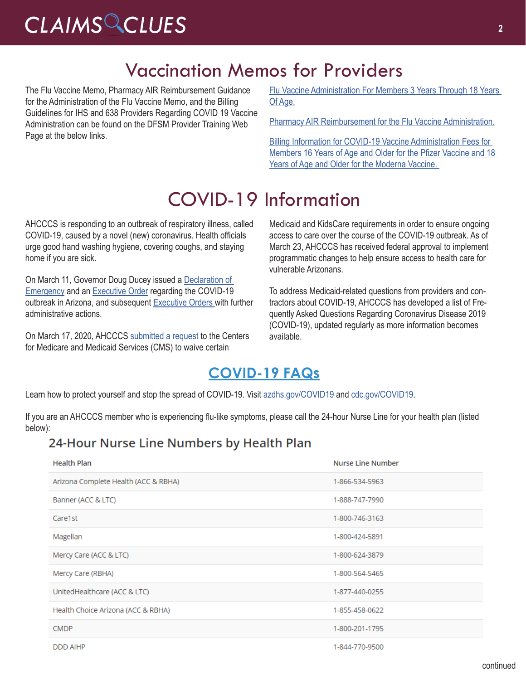# *CLAIMS CLUES* **<sup>2</sup>**

### Vaccination Memos for Providers

The Flu Vaccine Memo, Pharmacy AIR Reimbursement Guidance for the Administration of the Flu Vaccine Memo, and the Billing Guidelines for IHS and 638 Providers Regarding COVID 19 Vaccine Administration can be found on the DFSM Provider Training Web Page at the below links.

[Flu Vaccine Administration For Members 3 Years Through 18 Years](https://www.azahcccs.gov/Resources/Downloads/DFMSTraining/2020/FluVaccineMemo.pdf)  [Of Age.](https://www.azahcccs.gov/Resources/Downloads/DFMSTraining/2020/FluVaccineMemo.pdf)

[Pharmacy AIR Reimbursement for the Flu Vaccine Administration.](https://www.azahcccs.gov/Resources/Downloads/DFMSTraining/2020/PharmacyAIR_ReimbursementForTheFluVaccineAdministration.pdf)

[Billing Information for COVID-19 Vaccine Administration Fees for](https://www.azahcccs.gov/Resources/Downloads/DFMSTraining/2020/IHS638COVID19VaccineAdminBillingGuidelines.pdf)  [Members 16 Years of Age and Older for the Pfizer Vaccine and 18](https://www.azahcccs.gov/Resources/Downloads/DFMSTraining/2020/IHS638COVID19VaccineAdminBillingGuidelines.pdf)  [Years of Age and Older for the Moderna Vaccine.](https://www.azahcccs.gov/Resources/Downloads/DFMSTraining/2020/IHS638COVID19VaccineAdminBillingGuidelines.pdf) 

## COVID-19 Information

AHCCCS is responding to an outbreak of respiratory illness, called COVID-19, caused by a novel (new) coronavirus. Health officials urge good hand washing hygiene, covering coughs, and staying home if you are sick.

On March 11, Governor Doug Ducey issued a [Declaration of](https://azgovernor.gov/sites/default/files/declaraton_0.pdf)  [Emergency](https://azgovernor.gov/sites/default/files/declaraton_0.pdf) and an [Executive Order](https://azgovernor.gov/sites/default/files/eo_2020-07.pdf) regarding the COVID-19 outbreak in Arizona, and subsequent [Executive Orders](https://azgovernor.gov/executive-orders) with further administrative actions.

On March 17, 2020, AHCCCS [submitted a request](https://azahcccs.gov/Resources/Federal/PendingWaivers/1135.html) to the Centers for Medicare and Medicaid Services (CMS) to waive certain

Medicaid and KidsCare requirements in order to ensure ongoing access to care over the course of the COVID-19 outbreak. As of March 23, AHCCCS has received federal approval to implement programmatic changes to help ensure access to health care for vulnerable Arizonans.

To address Medicaid-related questions from providers and contractors about COVID-19, AHCCCS has developed a list of Frequently Asked Questions Regarding Coronavirus Disease 2019 (COVID-19), updated regularly as more information becomes available.

#### **[COVID-19 FAQs](https://azahcccs.gov/AHCCCS/AboutUs/covid19FAQ.html)**

Learn how to protect yourself and stop the spread of COVID-19. Visit [azdhs.gov/COVID19](https://azdhs.gov/covid19) and [cdc.gov/COVID19](https://www.cdc.gov/covid19).

If you are an AHCCCS member who is experiencing flu-like symptoms, please call the 24-hour Nurse Line for your health plan (listed below):

#### 24-Hour Nurse Line Numbers by Health Plan

| <b>Health Plan</b>                   | <b>Nurse Line Number</b> |
|--------------------------------------|--------------------------|
| Arizona Complete Health (ACC & RBHA) | 1-866-534-5963           |
| Banner (ACC & LTC)                   | 1-888-747-7990           |
| Care1st                              | 1-800-746-3163           |
| Magellan                             | 1-800-424-5891           |
| Mercy Care (ACC & LTC)               | 1-800-624-3879           |
| Mercy Care (RBHA)                    | 1-800-564-5465           |
| UnitedHealthcare (ACC & LTC)         | 1-877-440-0255           |
| Health Choice Arizona (ACC & RBHA)   | 1-855-458-0622           |
| <b>CMDP</b>                          | 1-800-201-1795           |
| <b>DDD AIHP</b>                      | 1-844-770-9500           |